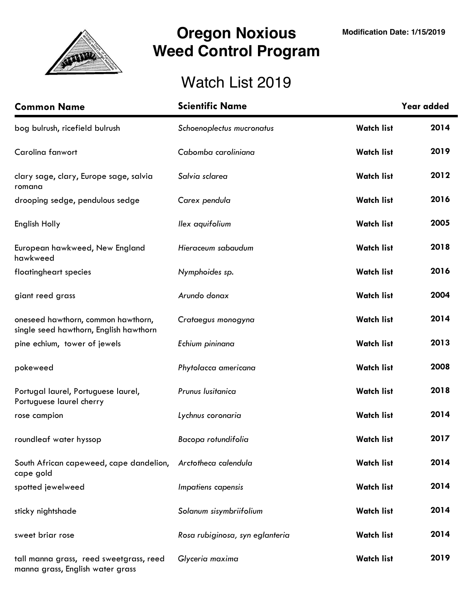

## **Oregon Noxious Weed Control Program**

## Watch List 2019

| <b>Common Name</b>                                                           | <b>Scientific Name</b>          |                   | Year added |
|------------------------------------------------------------------------------|---------------------------------|-------------------|------------|
| bog bulrush, ricefield bulrush                                               | Schoenoplectus mucronatus       | <b>Watch list</b> | 2014       |
| Carolina fanwort                                                             | Cabomba caroliniana             | <b>Watch list</b> | 2019       |
| clary sage, clary, Europe sage, salvia<br>romana                             | Salvia sclarea                  | <b>Watch list</b> | 2012       |
| drooping sedge, pendulous sedge                                              | Carex pendula                   | <b>Watch list</b> | 2016       |
| English Holly                                                                | llex aquifolium                 | <b>Watch list</b> | 2005       |
| European hawkweed, New England<br>hawkweed                                   | Hieraceum sabaudum              | <b>Watch list</b> | 2018       |
| floatingheart species                                                        | Nymphoides sp.                  | <b>Watch list</b> | 2016       |
| giant reed grass                                                             | Arundo donax                    | <b>Watch list</b> | 2004       |
| oneseed hawthorn, common hawthorn,<br>single seed hawthorn, English hawthorn | Crataegus monogyna              | <b>Watch list</b> | 2014       |
| pine echium, tower of jewels                                                 | Echium pininana                 | <b>Watch list</b> | 2013       |
| pokeweed                                                                     | Phytolacca americana            | <b>Watch list</b> | 2008       |
| Portugal laurel, Portuguese laurel,<br>Portuguese laurel cherry              | Prunus Iusitanica               | <b>Watch list</b> | 2018       |
| rose campion                                                                 | Lychnus coronaria               | <b>Watch list</b> | 2014       |
| roundleaf water hyssop                                                       | Bacopa rotundifolia             | <b>Watch list</b> | 2017       |
| South African capeweed, cape dandelion,<br>cape gold                         | Arctotheca calendula            | <b>Watch list</b> | 2014       |
| spotted jewelweed                                                            | Impatiens capensis              | <b>Watch list</b> | 2014       |
| sticky nightshade                                                            | Solanum sisymbriifolium         | <b>Watch list</b> | 2014       |
| sweet briar rose                                                             | Rosa rubiginosa, syn eglanteria | <b>Watch list</b> | 2014       |
| tall manna grass, reed sweetgrass, reed<br>manna grass, English water grass  | Glyceria maxima                 | <b>Watch list</b> | 2019       |